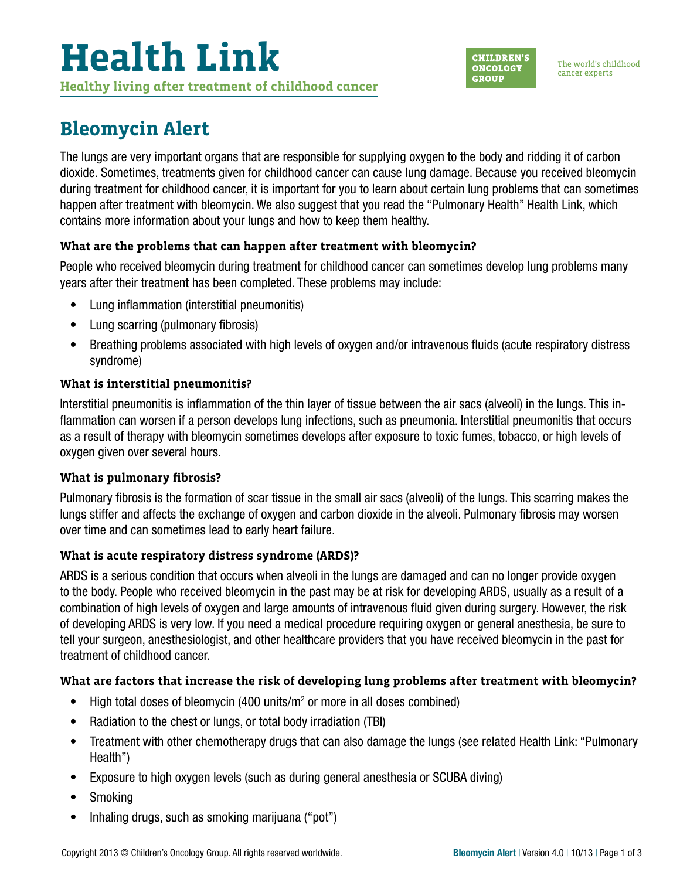# **Health Link Healthy living after treatment of childhood cancer**



### **Bleomycin Alert**

The lungs are very important organs that are responsible for supplying oxygen to the body and ridding it of carbon dioxide. Sometimes, treatments given for childhood cancer can cause lung damage. Because you received bleomycin during treatment for childhood cancer, it is important for you to learn about certain lung problems that can sometimes happen after treatment with bleomycin. We also suggest that you read the "Pulmonary Health" Health Link, which contains more information about your lungs and how to keep them healthy.

#### **What are the problems that can happen after treatment with bleomycin?**

People who received bleomycin during treatment for childhood cancer can sometimes develop lung problems many years after their treatment has been completed. These problems may include:

- Lung inflammation (interstitial pneumonitis)
- Lung scarring (pulmonary fibrosis)
- Breathing problems associated with high levels of oxygen and/or intravenous fluids (acute respiratory distress syndrome)

#### **What is interstitial pneumonitis?**

Interstitial pneumonitis is inflammation of the thin layer of tissue between the air sacs (alveoli) in the lungs. This inflammation can worsen if a person develops lung infections, such as pneumonia. Interstitial pneumonitis that occurs as a result of therapy with bleomycin sometimes develops after exposure to toxic fumes, tobacco, or high levels of oxygen given over several hours.

#### **What is pulmonary fibrosis?**

Pulmonary fibrosis is the formation of scar tissue in the small air sacs (alveoli) of the lungs. This scarring makes the lungs stiffer and affects the exchange of oxygen and carbon dioxide in the alveoli. Pulmonary fibrosis may worsen over time and can sometimes lead to early heart failure.

### **What is acute respiratory distress syndrome (ARDS)?**

ARDS is a serious condition that occurs when alveoli in the lungs are damaged and can no longer provide oxygen to the body. People who received bleomycin in the past may be at risk for developing ARDS, usually as a result of a combination of high levels of oxygen and large amounts of intravenous fluid given during surgery. However, the risk of developing ARDS is very low. If you need a medical procedure requiring oxygen or general anesthesia, be sure to tell your surgeon, anesthesiologist, and other healthcare providers that you have received bleomycin in the past for treatment of childhood cancer.

### **What are factors that increase the risk of developing lung problems after treatment with bleomycin?**

- $\bullet$  High total doses of bleomycin (400 units/ $m^2$  or more in all doses combined)
- Radiation to the chest or lungs, or total body irradiation (TBI)
- Treatment with other chemotherapy drugs that can also damage the lungs (see related Health Link: "Pulmonary Health")
- Exposure to high oxygen levels (such as during general anesthesia or SCUBA diving)
- Smoking
- Inhaling drugs, such as smoking marijuana ("pot")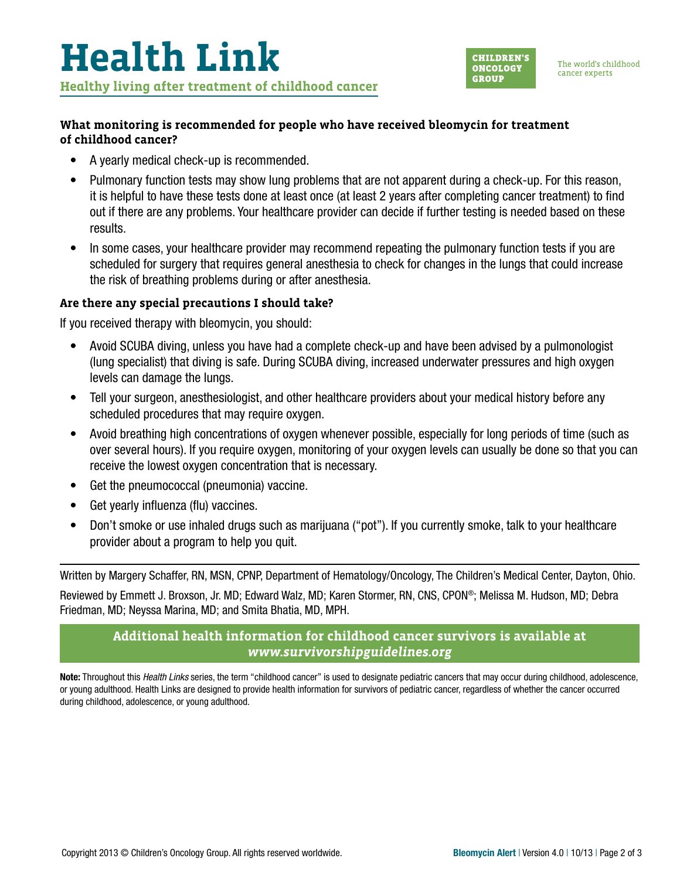

#### **What monitoring is recommended for people who have received bleomycin for treatment of childhood cancer?**

- A yearly medical check-up is recommended.
- Pulmonary function tests may show lung problems that are not apparent during a check-up. For this reason, it is helpful to have these tests done at least once (at least 2 years after completing cancer treatment) to find out if there are any problems. Your healthcare provider can decide if further testing is needed based on these results.
- In some cases, your healthcare provider may recommend repeating the pulmonary function tests if you are scheduled for surgery that requires general anesthesia to check for changes in the lungs that could increase the risk of breathing problems during or after anesthesia.

#### **Are there any special precautions I should take?**

If you received therapy with bleomycin, you should:

- Avoid SCUBA diving, unless you have had a complete check-up and have been advised by a pulmonologist (lung specialist) that diving is safe. During SCUBA diving, increased underwater pressures and high oxygen levels can damage the lungs.
- Tell your surgeon, anesthesiologist, and other healthcare providers about your medical history before any scheduled procedures that may require oxygen.
- Avoid breathing high concentrations of oxygen whenever possible, especially for long periods of time (such as over several hours). If you require oxygen, monitoring of your oxygen levels can usually be done so that you can receive the lowest oxygen concentration that is necessary.
- Get the pneumococcal (pneumonia) vaccine.
- Get yearly influenza (flu) vaccines.
- Don't smoke or use inhaled drugs such as marijuana ("pot"). If you currently smoke, talk to your healthcare provider about a program to help you quit.

Written by Margery Schaffer, RN, MSN, CPNP, Department of Hematology/Oncology, The Children's Medical Center, Dayton, Ohio.

Reviewed by Emmett J. Broxson, Jr. MD; Edward Walz, MD; Karen Stormer, RN, CNS, CPON®; Melissa M. Hudson, MD; Debra Friedman, MD; Neyssa Marina, MD; and Smita Bhatia, MD, MPH.

#### **Additional health information for childhood cancer survivors is available at**  *[www.survivorshipguidelines.org](http://www.survivorshipguidelines.org)*

Note: Throughout this *Health Links* series, the term "childhood cancer" is used to designate pediatric cancers that may occur during childhood, adolescence, or young adulthood. Health Links are designed to provide health information for survivors of pediatric cancer, regardless of whether the cancer occurred during childhood, adolescence, or young adulthood.